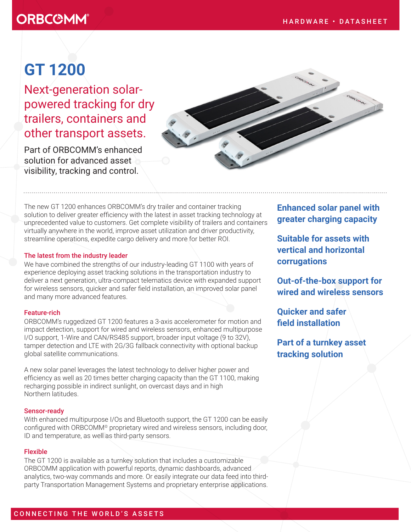## **ORBCOMM®**

# **GT 1200**

Next-generation solarpowered tracking for dry trailers, containers and other transport assets.

Part of ORBCOMM's enhanced solution for advanced asset visibility, tracking and control.



The new GT 1200 enhances ORBCOMM's dry trailer and container tracking solution to deliver greater efficiency with the latest in asset tracking technology at unprecedented value to customers. Get complete visibility of trailers and containers virtually anywhere in the world, improve asset utilization and driver productivity, streamline operations, expedite cargo delivery and more for better ROI.

#### The latest from the industry leader

We have combined the strengths of our industry-leading GT 1100 with years of experience deploying asset tracking solutions in the transportation industry to deliver a next generation, ultra-compact telematics device with expanded support for wireless sensors, quicker and safer field installation, an improved solar panel and many more advanced features.

#### Feature-rich

ORBCOMM's ruggedized GT 1200 features a 3-axis accelerometer for motion and impact detection, support for wired and wireless sensors, enhanced multipurpose I/O support, 1-Wire and CAN/RS485 support, broader input voltage (9 to 32V), tamper detection and LTE with 2G/3G fallback connectivity with optional backup global satellite communications.

A new solar panel leverages the latest technology to deliver higher power and efficiency as well as 20 times better charging capacity than the GT 1100, making recharging possible in indirect sunlight, on overcast days and in high Northern latitudes.

#### Sensor-ready

With enhanced multipurpose I/Os and Bluetooth support, the GT 1200 can be easily configured with ORBCOMM<sup>®</sup> proprietary wired and wireless sensors, including door, ID and temperature, as well as third-party sensors.

#### Flexible

The GT 1200 is available as a turnkey solution that includes a customizable ORBCOMM application with powerful reports, dynamic dashboards, advanced analytics, two-way commands and more. Or easily integrate our data feed into thirdparty Transportation Management Systems and proprietary enterprise applications.

**Enhanced solar panel with greater charging capacity**

**Suitable for assets with vertical and horizontal corrugations**

**Out-of-the-box support for wired and wireless sensors**

**Quicker and safer field installation**

**Part of a turnkey asset tracking solution**